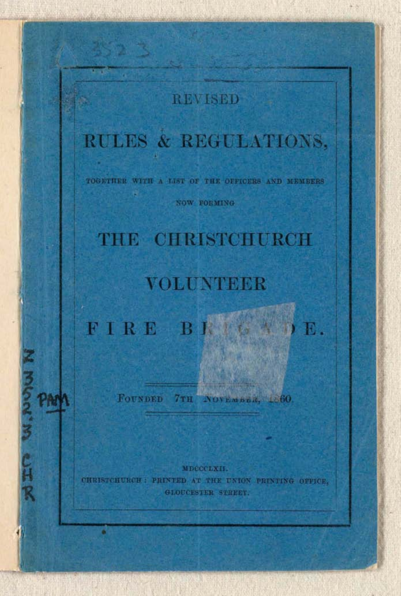### **REVISED**

# RULES & REGULATIONS,

TOGETHER WITH A LIST OF THE OFFICERS AND MEMBERS

H

ちえる じはる

M

NOW FORMING

# THE CHRISTCHURCH

### **VOLUNTEER**

FIRE BI  $\overline{\mathbf{R}}$  .

FOUNDED 7TH NOVEMBER, 180.

MDCCCLXII. CHRISTCHURCH : PRINTED AT THE UNION PRINTING OFFICE. GLOUCESTER STREET.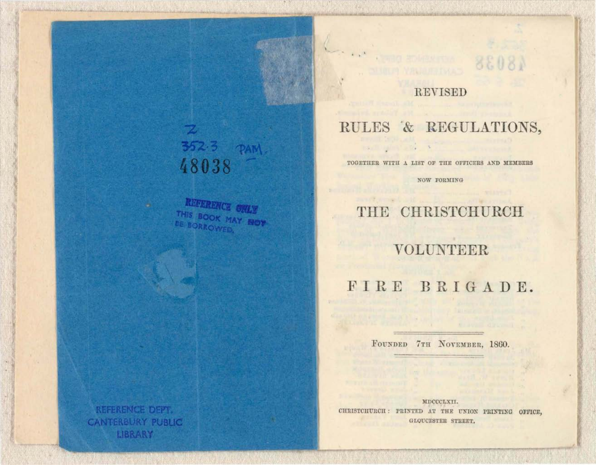# 352.3 PAM 48038

 $\overline{\mathbf{z}}$ 

REFERENCE ONLY THIS BOOK MAY NOT **DE BORROWED.** 

### **REVISED**

88081

 $\label{eq:2.1} \mathcal{L}_{\mathcal{A}} = \mathcal{L}_{\mathcal{A}} \mathcal{L}_{\mathcal{A}} + \mathcal{L}_{\mathcal{A}} \mathcal{L}_{\mathcal{A}}$ 

**IS THE REAL** 

Paul Torris Links

## RULES & REGULATIONS,

TOGETHER WITH A LIST OF THE OFFICERS AND MEMBERS

NOW FORMING

THE CHRISTCHURCH

VOLUNTEER

FIRE BRIGADE.

FOUNDED 7TH NOVEMBER, 1860.

MDCCCLXII. CHRISTCHURCH: PRINTED AT THE UNION PRINTING OFFICE, GLOUCESTER STREET.

REFERENCE DEPT. **CANTERBURY PUBLIC** LIBRARY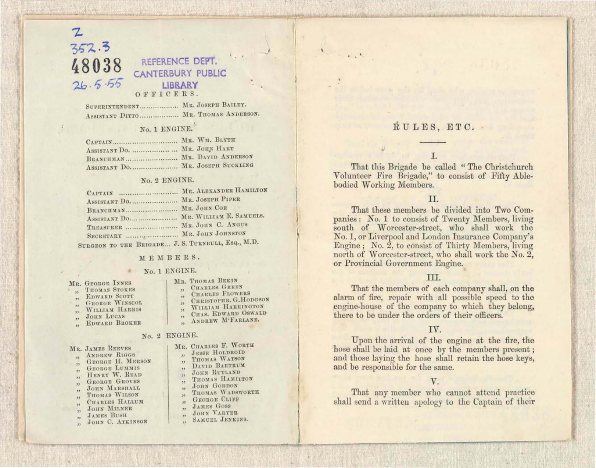### 352.3 48038 REFERENCE DEPT.  $26.5.55$ LIBRARY

#### OFFICERS.

SUPERINTENDENT................... MR. JOSEPH BAILEY. ASSISTANT DITTO .................. MR. THOMAS ANDERSON.

#### No. 1 ENGINE.

| CAPTAIN MR. WM. BLYTH             |  |
|-----------------------------------|--|
| ASSISTANT DO.  MR. JOHN HART      |  |
| BRANCHMAN  MR. DAVID ANDERSON     |  |
| ASSISTANT DO  MR. JOSEPH SUCKLING |  |

#### No. 2 ENGINE.

| CAPTAIN  MR. ALEXANDER HAMILTON       |  |
|---------------------------------------|--|
| ASSISTANT DO MR. JOSEPH PIPER         |  |
| BRANCHMAN MR. JOHN COR                |  |
| ASSISTANT DO  MR. WILLIAM E. SAMUELS. |  |
| TREASURER  MR. JOHN C. ANGUS          |  |
| SECRETARY  MR. JOHN JOHNSTON          |  |

SURGEON TO THE BRIGADE... J. S. TURNBULL, EsQ., M.D.

#### MEMBERS.

#### No. 1 ENGINE.

| MR. GEORGE INNES |  |
|------------------|--|
|------------------|--|

- **THOMAS STOKES**
- **EDWARD SCOTT GRORGE WINSCOL**
- WILLIAM HARRIS
- **JOHN LUCAS**
- 
- EDWARD BROKER

#### No. 2 ENGINE.

| IR. JAMES REEVES |  |  |  |
|------------------|--|--|--|
|------------------|--|--|--|

- **ANDREW RIGGS**  $\ddot{\phantom{1}}$ GEORGE H. MERSON
- **GEORGE LUMMIS**
- HENRY W. READ
- **GEORGE GROVES**
- JOHN MARSHALL
- THOMAS WILSON
- CHARLES HALLUM
- **JOHN MILNER**
- **JAMES BUSH**  $\overline{\phantom{a}}$
- JOHN C. ATKINSON
- MR. THOMAS BEKIN
	- **CHARLES GREEN CHARLES FLOWERS**
	- CHRISTOPHR. G. HODGSON
	- WILLIAM HARRINGTON
	- CHAS. EDWARD OSWALD
	- ANDREW M'FARLANE.  $\ddot{\phantom{0}}$

- MR. CHARLES F. WORTH
	- **JESSE HOLDROID**
	- THOMAS WATSON
	- DAVID BARTRUM
	- JOHN RUTLAND THOMAS HAMILTON
	- JOHN GORDON
	- $\overline{\mathbf{1}}$ THOMAS WADSWORTH
	- $52$ **GEORGE CLIFF**
	- **JAMES GOSS**
	- JOHN VARYER  $\overline{1}$
	- SAMUEL JENKINS.

### RULES, ETC.

#### T.

That this Brigade be called "The Christchurch Volunteer Fire Brigade," to consist of Fifty Ablebodied Working Members.

#### TT.

That these members be divided into Two Companies: No. 1 to consist of Twenty Members, living south of Worcester-street, who shall work the No. 1, or Liverpool and London Insurance Company's Engine; No. 2, to consist of Thirty Members, living north of Worcester-street, who shall work the No. 2, or Provincial Government Engine.

#### III.

That the members of each company shall, on the alarm of fire, repair with all possible speed to the engine-house of the company to which they belong, there to be under the orders of their officers.

#### TV.

Upon the arrival of the engine at the fire, the hose shall be laid at once by the members present; and those laying the hose shall retain the hose keys, and be responsible for the same.

#### V.

That any member who cannot attend practice shall send a written apology to the Captain of their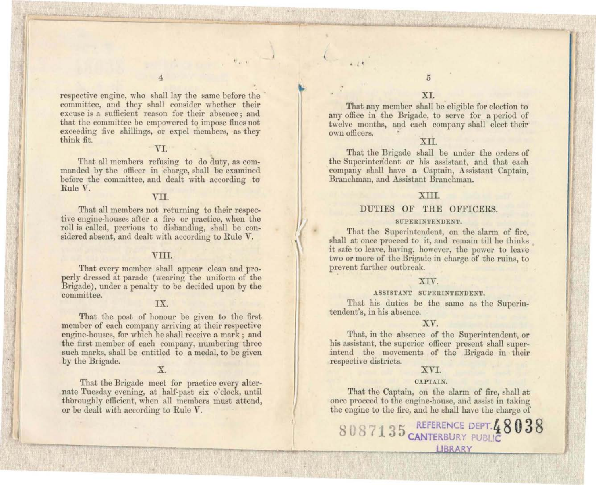respective engine, who shall lay the same before the committee, and they shall consider whether their excuse is a sufficient reason for their absence; and that the committee be empowered to impose fines not exceeding five shillings, or expel members, as they think fit.

4

#### VI.

That all members refusing to do duty, as commanded by the officer in charge, shall be examined before the committee, and dealt with according to Rule V.

#### VII.

That all members not returning to their respective engine-houses after a fire or practice, when the roll is called, previous to disbanding, shall be considered absent, and dealt with according to Rule V.

#### VIII.

That every member shall appear clean and properly dres ed at parade (wearing the uniform of the Brigade), under a penalty to be decided upon by the committee.

#### IX.

That the post of honour be given to the first member of each company arriving at their respective engine-houses, for which he shall receive a mark; and the first member of each company, numbering three such marks, shall be entitled to a medal, to be given by the Brigade.

### X.

That the Brigade meet for practice every alternate Tuesday evening, at half-past six o'clock, until thoroughly efficient, when all members must attend, or be dealt with according to Rule V.

 $. 14$ 

That any member shall be eligible for election to any office in the Brigade, to serve for a period of twelve months, and each company shall elect their own officers.

#### XII.

That the Brigade shall be under the orders of the Superintendent or his assistant, and that each \ company shall have a Captain, Assistant Captain, Branchman, and Assistant Branchman.

#### XIII.

#### DUTIES OF THE OFFICERS.

#### SUPERINTENDENT.

That the Superintendent, on the alarm of fire, shall at once proceed to it, and remain till he thinks it safe to leave, haying, however, the power to leave two or more of the Brigade in charge of the ruins, to prevent further outbreak.

#### XIV.

#### ASSISTANT SUPERINTENDENT.

That his duties be the same as the Superintendent's, in his absence.

#### XV.

That, in the absence of the Superintendent, or his assistant, the superior officer present shall superintend the movements of the Brigade in their respective districts.

#### XVI.

#### CAPTAIN.

That the Captain, on the alarm of fire, shall at once proceed to the engine-house, and assist in taking the engine to the fire, and he shall have the charge of

8 **5 REFERE CE DEPT. <sup>q</sup>8038 CANTERBURY PUBL!** LIBRARY

5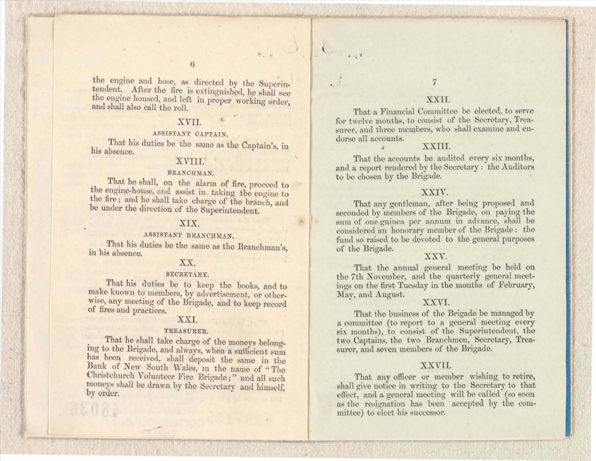$9.1 - 0.$ 

the engine and hose, as directed by the Superintendent. After the fire is extinguished, he shall see the engine housed, and left in proper working order, and shall also call the roll.

#### XVII.

#### ASSISTANT CAPTAIN.

That his duties be the same as the Captain's, in his absence.

#### XVIII.

#### BRANCHMAN.

That he shall, on the alarm of fire, proceed to the engine-house, and assist in taking the engine to the fire; and he shall take charge of the branch, and be under the direction of the Superintendent.

#### XIX.

#### ASSISTANT BRANCHMAN.

That his duties be the same as the Branchman's, in his absence.

#### XX.

#### SECRETARY.

That his duties be to keep the books, and to make known to members, by advertisement, or otherwise, any meeting of the Brigade, and to keep record of fires and practices.

#### XXI.

#### TREASURER.

That he shall take charge of the moneys belonging to the Brigade, and always, when a sufficient sum has been received, shall deposit the same in the Bank of New South Wales, in the name of "The Christchurch Volunteer Fire Brigade;" and all such moneys shall be drawn by the Secretary and himself, by order.

#### XXII.

That a Financial Committee be elected, to serve for twelve months, to consist of the Secretary, Treasurer, and three members, who shall examine and endorse all accounts.

#### XXIII.

That the accounts be audited every six months, and a report rendered by the Secretary: the Auditors to be chosen by the Brigade.

#### XXIV.

That any gentleman, after being proposed and seconded by members of the Brigade, on paying the sum of one guinea per annum in advance, shall be considered an honorary member of the Brigade: the fund so raised to be devoted to the general purposes of the Brigade.

#### XXV.

That the annual general meeting be held on the 7th November, and the quarterly general meetings on the first Tuesday in the months of February, May, and August.

#### XXVI.

That the business of the Brigade be managed by a committee (to report to a general meeting every six months), to consist of the Superintendent, the two Captains, the two Branchmen, Secretary, Treasurer, and seven members of the Brigade.

#### XXVII.

That any officer or member wishing to retire, shall give notice in writing to the Secretary to that effect, and a general meeting will be called (so soon as the resignation has been accepted by the committee) to elect his successor.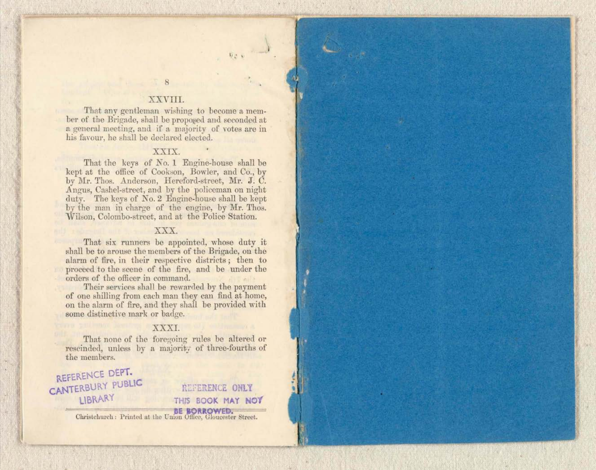### 8 XXVIII.

 $\overline{D}$  is  $\overline{D}$ 

That any gentleman wishing to become a member of the Brigade, shall be proposed and seconded at a general meeting, and jf a majority of votes are in his fayour, he shall be declared elected.

#### XXIX.

That the keys of No. 1 Engine-house shall be kept at the office of Cookson, Bowler, and Co., by by Mr. Thos. Anderson, Hereford-street, Mr. J. C. Angus, Cashel-street, and by the policeman on night duty. The keys of No. 2 Engine-house shall be kept by the man in charge of the engine, by Mr. Thos. Wilson, Colombo-street, and at the Police Station.

#### XXX.

That six runners be appointed, whose duty it shall be to arouse the members of the Brigade, on the alarm of fire, in their respective districts; then to proceed to the scene of the fire, and be under the orders of the officer in command.

Their services shall be rewarded by the payment of one shilling from each man they can find at home, on the alarm of fire, and they shall be provided with some distinctive mark or badge.

#### XXXI.

That none of the foregoing rules be altered or rescinded, unless by a majority of three-fourths of the members.

REFERENCE DEPT. **CANTERBURY PUBLIC LIBRARY** 

REFERENCE ONLY **THIS BOOK MAY NOT** 

**EE BORROWED.** Christellurch: Printed at the Union Office, Gloucester Street.